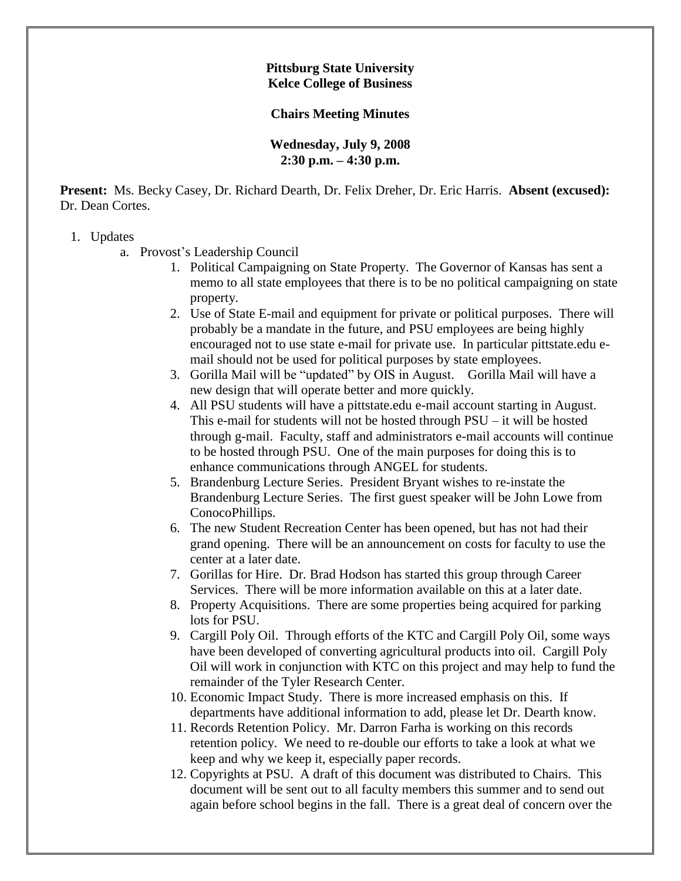## **Pittsburg State University Kelce College of Business**

## **Chairs Meeting Minutes**

## **Wednesday, July 9, 2008 2:30 p.m. – 4:30 p.m.**

**Present:** Ms. Becky Casey, Dr. Richard Dearth, Dr. Felix Dreher, Dr. Eric Harris. **Absent (excused):** Dr. Dean Cortes.

## 1. Updates

a. Provost's Leadership Council

- 1. Political Campaigning on State Property. The Governor of Kansas has sent a memo to all state employees that there is to be no political campaigning on state property.
- 2. Use of State E-mail and equipment for private or political purposes. There will probably be a mandate in the future, and PSU employees are being highly encouraged not to use state e-mail for private use. In particular pittstate.edu email should not be used for political purposes by state employees.
- 3. Gorilla Mail will be "updated" by OIS in August. Gorilla Mail will have a new design that will operate better and more quickly.
- 4. All PSU students will have a pittstate.edu e-mail account starting in August. This e-mail for students will not be hosted through PSU – it will be hosted through g-mail. Faculty, staff and administrators e-mail accounts will continue to be hosted through PSU. One of the main purposes for doing this is to enhance communications through ANGEL for students.
- 5. Brandenburg Lecture Series. President Bryant wishes to re-instate the Brandenburg Lecture Series. The first guest speaker will be John Lowe from ConocoPhillips.
- 6. The new Student Recreation Center has been opened, but has not had their grand opening. There will be an announcement on costs for faculty to use the center at a later date.
- 7. Gorillas for Hire. Dr. Brad Hodson has started this group through Career Services. There will be more information available on this at a later date.
- 8. Property Acquisitions. There are some properties being acquired for parking lots for PSU.
- 9. Cargill Poly Oil. Through efforts of the KTC and Cargill Poly Oil, some ways have been developed of converting agricultural products into oil. Cargill Poly Oil will work in conjunction with KTC on this project and may help to fund the remainder of the Tyler Research Center.
- 10. Economic Impact Study. There is more increased emphasis on this. If departments have additional information to add, please let Dr. Dearth know.
- 11. Records Retention Policy. Mr. Darron Farha is working on this records retention policy. We need to re-double our efforts to take a look at what we keep and why we keep it, especially paper records.
- 12. Copyrights at PSU. A draft of this document was distributed to Chairs. This document will be sent out to all faculty members this summer and to send out again before school begins in the fall. There is a great deal of concern over the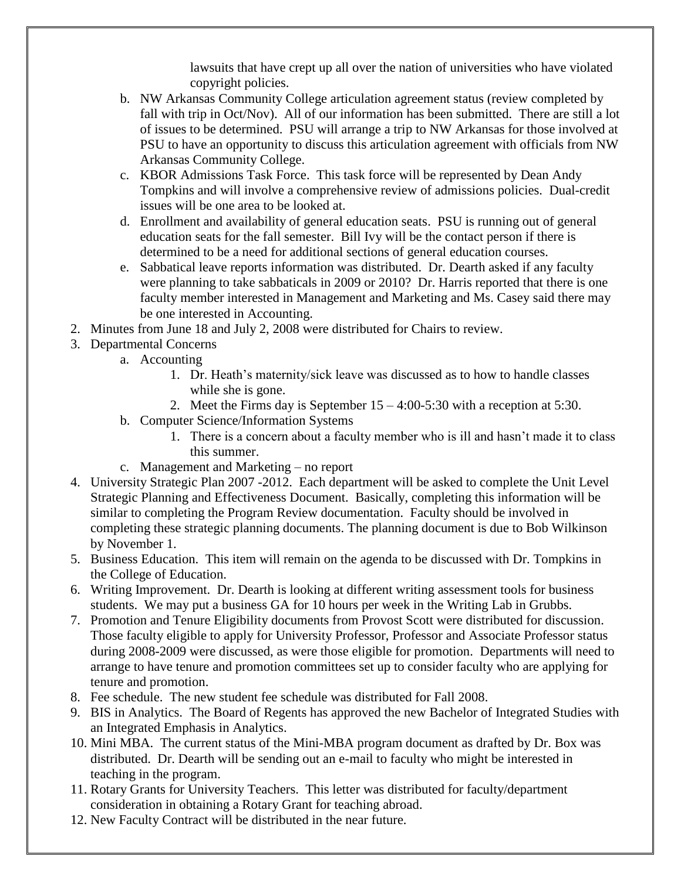lawsuits that have crept up all over the nation of universities who have violated copyright policies.

- b. NW Arkansas Community College articulation agreement status (review completed by fall with trip in Oct/Nov). All of our information has been submitted. There are still a lot of issues to be determined. PSU will arrange a trip to NW Arkansas for those involved at PSU to have an opportunity to discuss this articulation agreement with officials from NW Arkansas Community College.
- c. KBOR Admissions Task Force. This task force will be represented by Dean Andy Tompkins and will involve a comprehensive review of admissions policies. Dual-credit issues will be one area to be looked at.
- d. Enrollment and availability of general education seats. PSU is running out of general education seats for the fall semester. Bill Ivy will be the contact person if there is determined to be a need for additional sections of general education courses.
- e. Sabbatical leave reports information was distributed. Dr. Dearth asked if any faculty were planning to take sabbaticals in 2009 or 2010? Dr. Harris reported that there is one faculty member interested in Management and Marketing and Ms. Casey said there may be one interested in Accounting.
- 2. Minutes from June 18 and July 2, 2008 were distributed for Chairs to review.
- 3. Departmental Concerns
	- a. Accounting
		- 1. Dr. Heath's maternity/sick leave was discussed as to how to handle classes while she is gone.
		- 2. Meet the Firms day is September 15 4:00-5:30 with a reception at 5:30.
	- b. Computer Science/Information Systems
		- 1. There is a concern about a faculty member who is ill and hasn't made it to class this summer.
	- c. Management and Marketing no report
- 4. University Strategic Plan 2007 -2012. Each department will be asked to complete the Unit Level Strategic Planning and Effectiveness Document. Basically, completing this information will be similar to completing the Program Review documentation. Faculty should be involved in completing these strategic planning documents. The planning document is due to Bob Wilkinson by November 1.
- 5. Business Education. This item will remain on the agenda to be discussed with Dr. Tompkins in the College of Education.
- 6. Writing Improvement. Dr. Dearth is looking at different writing assessment tools for business students. We may put a business GA for 10 hours per week in the Writing Lab in Grubbs.
- 7. Promotion and Tenure Eligibility documents from Provost Scott were distributed for discussion. Those faculty eligible to apply for University Professor, Professor and Associate Professor status during 2008-2009 were discussed, as were those eligible for promotion. Departments will need to arrange to have tenure and promotion committees set up to consider faculty who are applying for tenure and promotion.
- 8. Fee schedule. The new student fee schedule was distributed for Fall 2008.
- 9. BIS in Analytics. The Board of Regents has approved the new Bachelor of Integrated Studies with an Integrated Emphasis in Analytics.
- 10. Mini MBA. The current status of the Mini-MBA program document as drafted by Dr. Box was distributed. Dr. Dearth will be sending out an e-mail to faculty who might be interested in teaching in the program.
- 11. Rotary Grants for University Teachers. This letter was distributed for faculty/department consideration in obtaining a Rotary Grant for teaching abroad.
- 12. New Faculty Contract will be distributed in the near future.